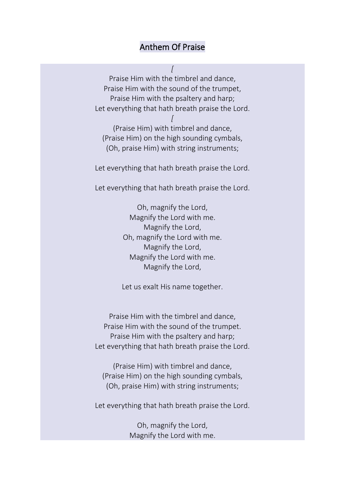## Anthem Of Praise

*[* Praise Him with the timbrel and dance, Praise Him with the sound of the trumpet, Praise Him with the psaltery and harp; Let everything that hath breath praise the Lord.

*[* (Praise Him) with timbrel and dance, (Praise Him) on the high sounding cymbals, (Oh, praise Him) with string instruments;

Let everything that hath breath praise the Lord.

Let everything that hath breath praise the Lord.

Oh, magnify the Lord, Magnify the Lord with me. Magnify the Lord, Oh, magnify the Lord with me. Magnify the Lord, Magnify the Lord with me. Magnify the Lord,

Let us exalt His name together.

Praise Him with the timbrel and dance, Praise Him with the sound of the trumpet. Praise Him with the psaltery and harp; Let everything that hath breath praise the Lord.

(Praise Him) with timbrel and dance, (Praise Him) on the high sounding cymbals, (Oh, praise Him) with string instruments;

Let everything that hath breath praise the Lord.

Oh, magnify the Lord, Magnify the Lord with me.